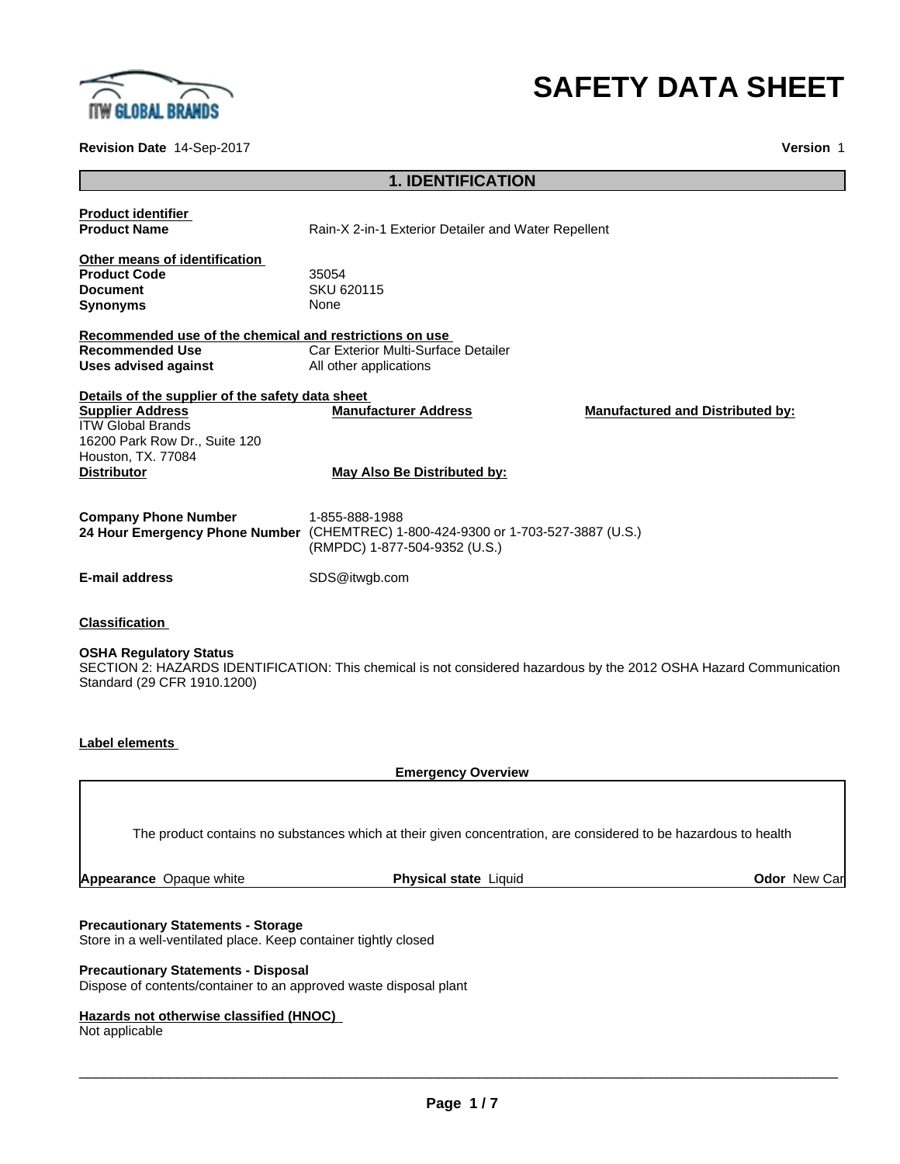

### **Revision Date** 14-Sep-2017 **Version** 1

# **SAFETY DATA SHEET**

### **1. IDENTIFICATION**

| <b>Product identifier</b><br><b>Product Name</b>                                                           | Rain-X 2-in-1 Exterior Detailer and Water Repellent                                                                                  |                                                                                                         |
|------------------------------------------------------------------------------------------------------------|--------------------------------------------------------------------------------------------------------------------------------------|---------------------------------------------------------------------------------------------------------|
| Other means of identification<br><b>Product Code</b>                                                       | 35054                                                                                                                                |                                                                                                         |
| <b>Document</b>                                                                                            | SKU 620115                                                                                                                           |                                                                                                         |
| <b>Synonyms</b>                                                                                            | None                                                                                                                                 |                                                                                                         |
| Recommended use of the chemical and restrictions on use                                                    |                                                                                                                                      |                                                                                                         |
| <b>Recommended Use</b>                                                                                     | Car Exterior Multi-Surface Detailer                                                                                                  |                                                                                                         |
| Uses advised against                                                                                       | All other applications                                                                                                               |                                                                                                         |
| Details of the supplier of the safety data sheet                                                           |                                                                                                                                      |                                                                                                         |
| <b>Supplier Address</b><br><b>ITW Global Brands</b><br>16200 Park Row Dr., Suite 120<br>Houston, TX. 77084 | <b>Manufacturer Address</b>                                                                                                          | <b>Manufactured and Distributed by:</b>                                                                 |
| <b>Distributor</b>                                                                                         | May Also Be Distributed by:                                                                                                          |                                                                                                         |
| <b>Company Phone Number</b>                                                                                | 1-855-888-1988<br>24 Hour Emergency Phone Number (CHEMTREC) 1-800-424-9300 or 1-703-527-3887 (U.S.)<br>(RMPDC) 1-877-504-9352 (U.S.) |                                                                                                         |
| <b>E-mail address</b>                                                                                      | SDS@itwgb.com                                                                                                                        |                                                                                                         |
| <b>Classification</b>                                                                                      |                                                                                                                                      |                                                                                                         |
| <b>OSHA Regulatory Status</b>                                                                              |                                                                                                                                      | OEOTION QUINTADDO IDENTIFIONE THE HELL IS and considerable conditional the OOLO OOLN Hellen Occupations |

SECTION 2: HAZARDS IDENTIFICATION: This chemical is not considered hazardous by the 2012 OSHA Hazard Communication Standard (29 CFR 1910.1200)

### **Label elements**

**Emergency Overview**

The product contains no substances which at their given concentration, are considered to be hazardous to health

**Appearance** Opaque white **Physical state** Liquid **Odor** New Car

### **Precautionary Statements - Storage**

Store in a well-ventilated place. Keep container tightly closed

### **Precautionary Statements - Disposal**

Dispose of contents/container to an approved waste disposal plant

### **Hazards not otherwise classified (HNOC)**

Not applicable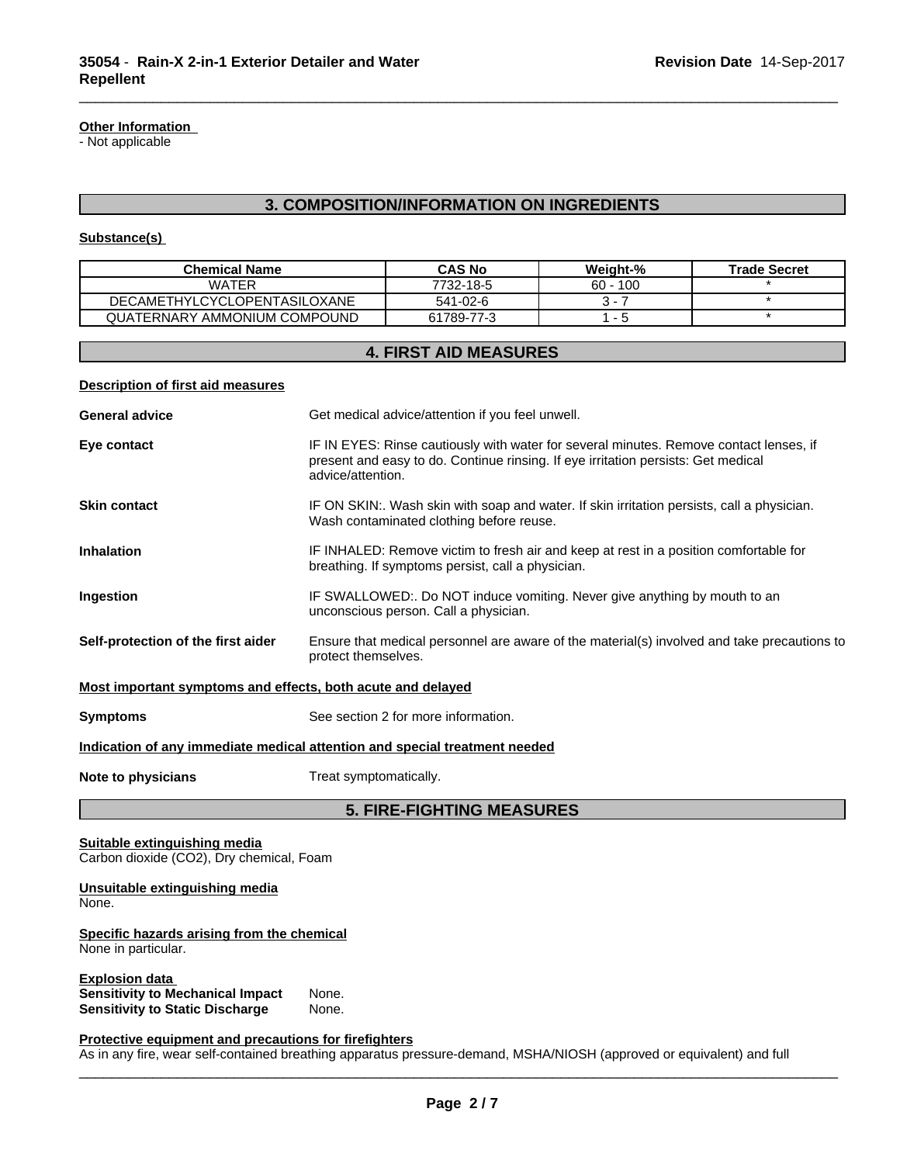### **Other Information**

- Not applicable

### **3. COMPOSITION/INFORMATION ON INGREDIENTS**

\_\_\_\_\_\_\_\_\_\_\_\_\_\_\_\_\_\_\_\_\_\_\_\_\_\_\_\_\_\_\_\_\_\_\_\_\_\_\_\_\_\_\_\_\_\_\_\_\_\_\_\_\_\_\_\_\_\_\_\_\_\_\_\_\_\_\_\_\_\_\_\_\_\_\_\_\_\_\_\_\_\_\_\_\_\_\_\_\_\_\_\_\_

### **Substance(s)**

| <b>Chemical Name</b>                | <b>CAS No</b> | Weight-%   | <b>Trade Secret</b> |
|-------------------------------------|---------------|------------|---------------------|
| WATER                               | 7732-18-5     | $60 - 100$ |                     |
| <b>DECAMETHYLCYCLOPENTASILOXANE</b> | 541-02-6      |            |                     |
| QUATERNARY AMMONIUM COMPOUND        | 61789-77-3    |            |                     |

### **4. FIRST AID MEASURES**

| <b>Description of first aid measures</b>                                   |                                                                                                                                                                                                  |  |  |
|----------------------------------------------------------------------------|--------------------------------------------------------------------------------------------------------------------------------------------------------------------------------------------------|--|--|
| <b>General advice</b>                                                      | Get medical advice/attention if you feel unwell.                                                                                                                                                 |  |  |
| Eye contact                                                                | IF IN EYES: Rinse cautiously with water for several minutes. Remove contact lenses, if<br>present and easy to do. Continue rinsing. If eye irritation persists: Get medical<br>advice/attention. |  |  |
| <b>Skin contact</b>                                                        | IF ON SKIN:. Wash skin with soap and water. If skin irritation persists, call a physician.<br>Wash contaminated clothing before reuse.                                                           |  |  |
| <b>Inhalation</b>                                                          | IF INHALED: Remove victim to fresh air and keep at rest in a position comfortable for<br>breathing. If symptoms persist, call a physician.                                                       |  |  |
| Ingestion                                                                  | IF SWALLOWED:. Do NOT induce vomiting. Never give anything by mouth to an<br>unconscious person. Call a physician.                                                                               |  |  |
| Self-protection of the first aider                                         | Ensure that medical personnel are aware of the material(s) involved and take precautions to<br>protect themselves.                                                                               |  |  |
| Most important symptoms and effects, both acute and delayed                |                                                                                                                                                                                                  |  |  |
| <b>Symptoms</b>                                                            | See section 2 for more information.                                                                                                                                                              |  |  |
| Indication of any immediate medical attention and special treatment needed |                                                                                                                                                                                                  |  |  |
| Note to physicians                                                         | Treat symptomatically.                                                                                                                                                                           |  |  |
| <b>5. FIRE-FIGHTING MEASURES</b>                                           |                                                                                                                                                                                                  |  |  |

### **Suitable extinguishing media** Carbon dioxide (CO2), Dry chemical, Foam

### **Unsuitable extinguishing media** None.

### **Specific hazards arising from the chemical** None in particular.

**Explosion data**<br>**Sensitivity to Mechanical Impact** None. **Sensitivity to Mechanical Impact** None. **Sensitivity to Static Discharge** 

### **Protective equipment and precautions for firefighters**

As in any fire, wear self-contained breathing apparatus pressure-demand, MSHA/NIOSH (approved or equivalent) and full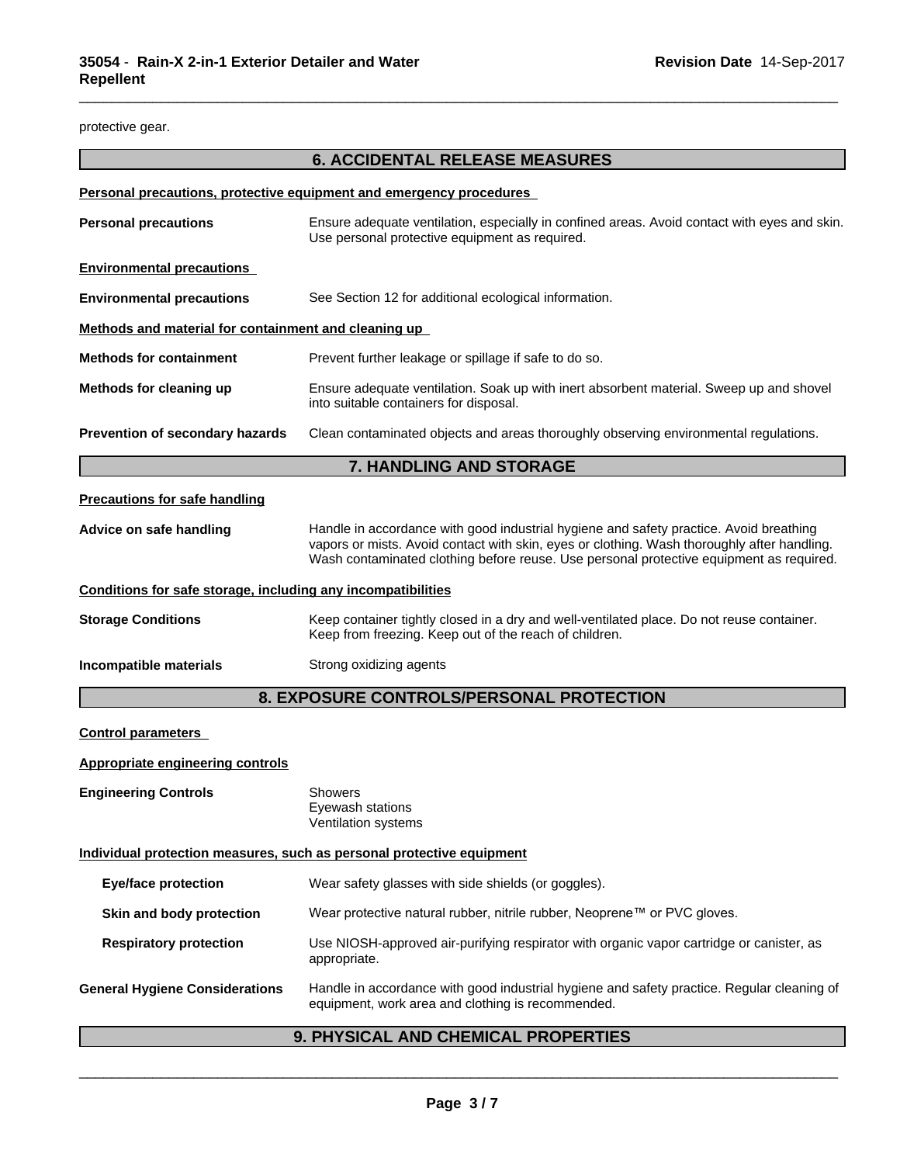protective gear.

## **6. ACCIDENTAL RELEASE MEASURES**

\_\_\_\_\_\_\_\_\_\_\_\_\_\_\_\_\_\_\_\_\_\_\_\_\_\_\_\_\_\_\_\_\_\_\_\_\_\_\_\_\_\_\_\_\_\_\_\_\_\_\_\_\_\_\_\_\_\_\_\_\_\_\_\_\_\_\_\_\_\_\_\_\_\_\_\_\_\_\_\_\_\_\_\_\_\_\_\_\_\_\_\_\_

|                                                              | <b>Personal precautions, protective equipment and emergency procedures</b>                                                                                                                                                                                                       |  |  |
|--------------------------------------------------------------|----------------------------------------------------------------------------------------------------------------------------------------------------------------------------------------------------------------------------------------------------------------------------------|--|--|
| <b>Personal precautions</b>                                  | Ensure adequate ventilation, especially in confined areas. Avoid contact with eyes and skin.<br>Use personal protective equipment as required.                                                                                                                                   |  |  |
| <b>Environmental precautions</b>                             |                                                                                                                                                                                                                                                                                  |  |  |
| <b>Environmental precautions</b>                             | See Section 12 for additional ecological information.                                                                                                                                                                                                                            |  |  |
| Methods and material for containment and cleaning up         |                                                                                                                                                                                                                                                                                  |  |  |
| <b>Methods for containment</b>                               | Prevent further leakage or spillage if safe to do so.                                                                                                                                                                                                                            |  |  |
| Methods for cleaning up                                      | Ensure adequate ventilation. Soak up with inert absorbent material. Sweep up and shovel<br>into suitable containers for disposal.                                                                                                                                                |  |  |
| Prevention of secondary hazards                              | Clean contaminated objects and areas thoroughly observing environmental regulations.                                                                                                                                                                                             |  |  |
|                                                              | <b>7. HANDLING AND STORAGE</b>                                                                                                                                                                                                                                                   |  |  |
| <b>Precautions for safe handling</b>                         |                                                                                                                                                                                                                                                                                  |  |  |
| Advice on safe handling                                      | Handle in accordance with good industrial hygiene and safety practice. Avoid breathing<br>vapors or mists. Avoid contact with skin, eyes or clothing. Wash thoroughly after handling.<br>Wash contaminated clothing before reuse. Use personal protective equipment as required. |  |  |
| Conditions for safe storage, including any incompatibilities |                                                                                                                                                                                                                                                                                  |  |  |
| <b>Storage Conditions</b>                                    | Keep container tightly closed in a dry and well-ventilated place. Do not reuse container.<br>Keep from freezing. Keep out of the reach of children.                                                                                                                              |  |  |
| Incompatible materials                                       | Strong oxidizing agents                                                                                                                                                                                                                                                          |  |  |
|                                                              | 8. EXPOSURE CONTROLS/PERSONAL PROTECTION                                                                                                                                                                                                                                         |  |  |
| <b>Control parameters</b>                                    |                                                                                                                                                                                                                                                                                  |  |  |
| <b>Appropriate engineering controls</b>                      |                                                                                                                                                                                                                                                                                  |  |  |
| <b>Engineering Controls</b>                                  | Showers<br>Eyewash stations<br>Ventilation systems                                                                                                                                                                                                                               |  |  |
|                                                              | Individual protection measures, such as personal protective equipment                                                                                                                                                                                                            |  |  |
| <b>Eye/face protection</b>                                   | Wear safety glasses with side shields (or goggles).                                                                                                                                                                                                                              |  |  |
| Skin and body protection                                     | Wear protective natural rubber, nitrile rubber, Neoprene™ or PVC gloves.                                                                                                                                                                                                         |  |  |
| <b>Respiratory protection</b>                                | Use NIOSH-approved air-purifying respirator with organic vapor cartridge or canister, as<br>appropriate.                                                                                                                                                                         |  |  |
| <b>General Hygiene Considerations</b>                        | Handle in accordance with good industrial hygiene and safety practice. Regular cleaning of<br>equipment, work area and clothing is recommended.                                                                                                                                  |  |  |
|                                                              | 9. PHYSICAL AND CHEMICAL PROPERTIES                                                                                                                                                                                                                                              |  |  |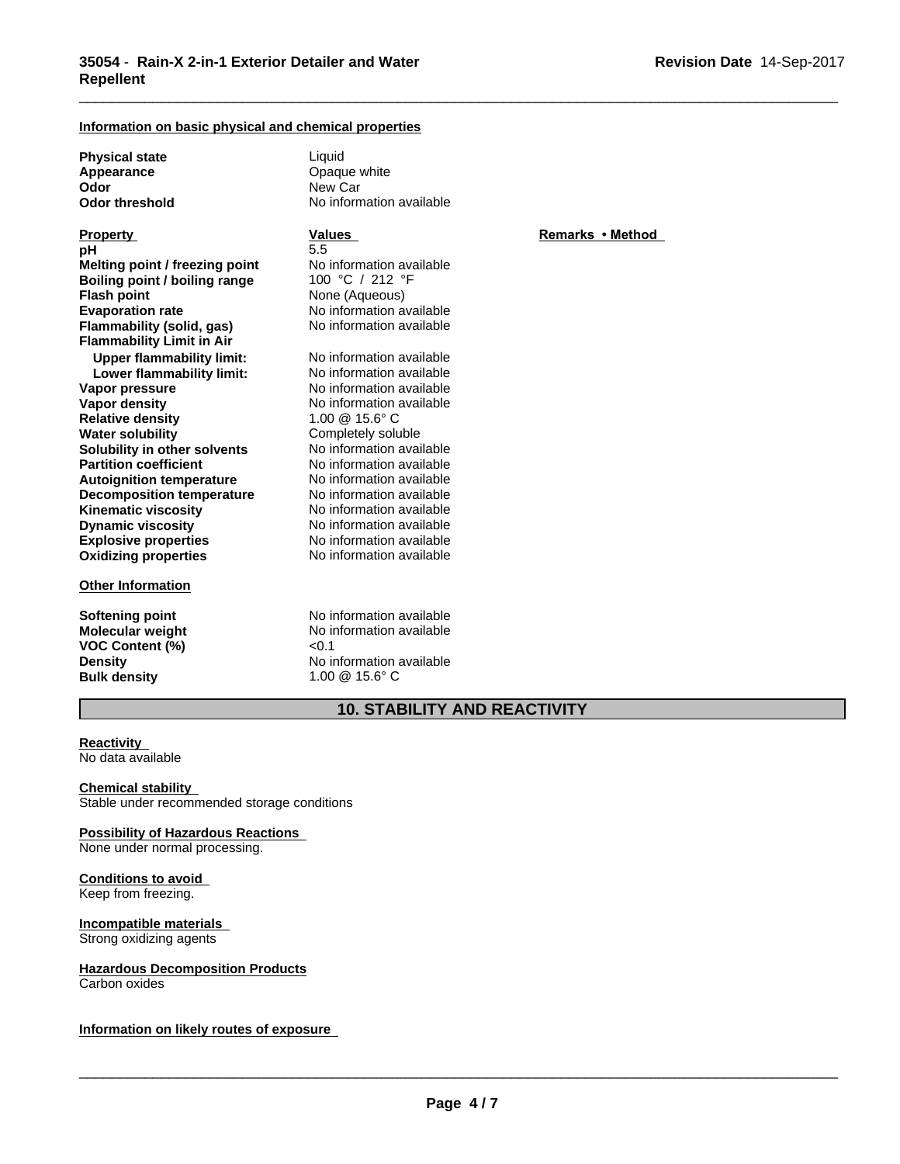### **Information on basic physical and chemical properties**

**Physical state** Liquid<br> **Appearance** Coaqu **Appearance Consumersing Consumersity** Opaque white **Odor Odor** New Car<br> **Odor threshold** No inform

**Explosive properties** No information available **Oxidizing properties** No information available **Property Remarks • Method Property Remarks • Method pH** 5.5 **Melting point / freezing point** No information available<br> **Boiling point / boiling range** 100 °C / 212 °F **Boiling point / boiling range Flash point** None (Aqueous) **Evaporation rate rate** No information available<br> **Flammability (solid. gas)** No information available **Flammability (solid, gas) Flammability Limit in Air Upper flammability limit:** No information available<br> **Lower flammability limit:** No information available **Lower flammability limit:**<br>Vapor pressure **Vapor density** No information available **Relative density** 1.00 @ 15.6° C **Water solubility**<br> **Solubility in other solvents**<br>
No information available **Solubility in other solvents** No information available<br> **Partition coefficient** No information available **Partition coefficient**<br> **Autoignition temperature**<br>
No information available **Autoignition temperature No information available**<br> **Decomposition temperature No information available Decomposition temperature** No information available<br>**Kinematic viscosity** No information available **Kinematic viscosity**<br> **Communical Internation available**<br>
No information available **Dynamic viscosity** 

### **Other Information**

**Molecular weight** No in<br> **VOC Content** (%)  $\leq 0.1$ **VOC** Content (%) **Bulk density** 1.00 @ 15.6° C

**No information available** 

**No information available** 

**Softening point**<br> **Molecular weight**<br> **Molecular weight**<br> **Molecular weight**<br> **Molecular weight Density** No information available

\_\_\_\_\_\_\_\_\_\_\_\_\_\_\_\_\_\_\_\_\_\_\_\_\_\_\_\_\_\_\_\_\_\_\_\_\_\_\_\_\_\_\_\_\_\_\_\_\_\_\_\_\_\_\_\_\_\_\_\_\_\_\_\_\_\_\_\_\_\_\_\_\_\_\_\_\_\_\_\_\_\_\_\_\_\_\_\_\_\_\_\_\_

### **10. STABILITY AND REACTIVITY**

### **Reactivity**

No data available

**Chemical stability** Stable under recommended storage conditions

# **Possibility of Hazardous Reactions**

None under normal processing.

## **Conditions to avoid**

Keep from freezing.

### **Incompatible materials**

Strong oxidizing agents

# **Hazardous Decomposition Products**

Carbon oxides

**Information on likely routes of exposure**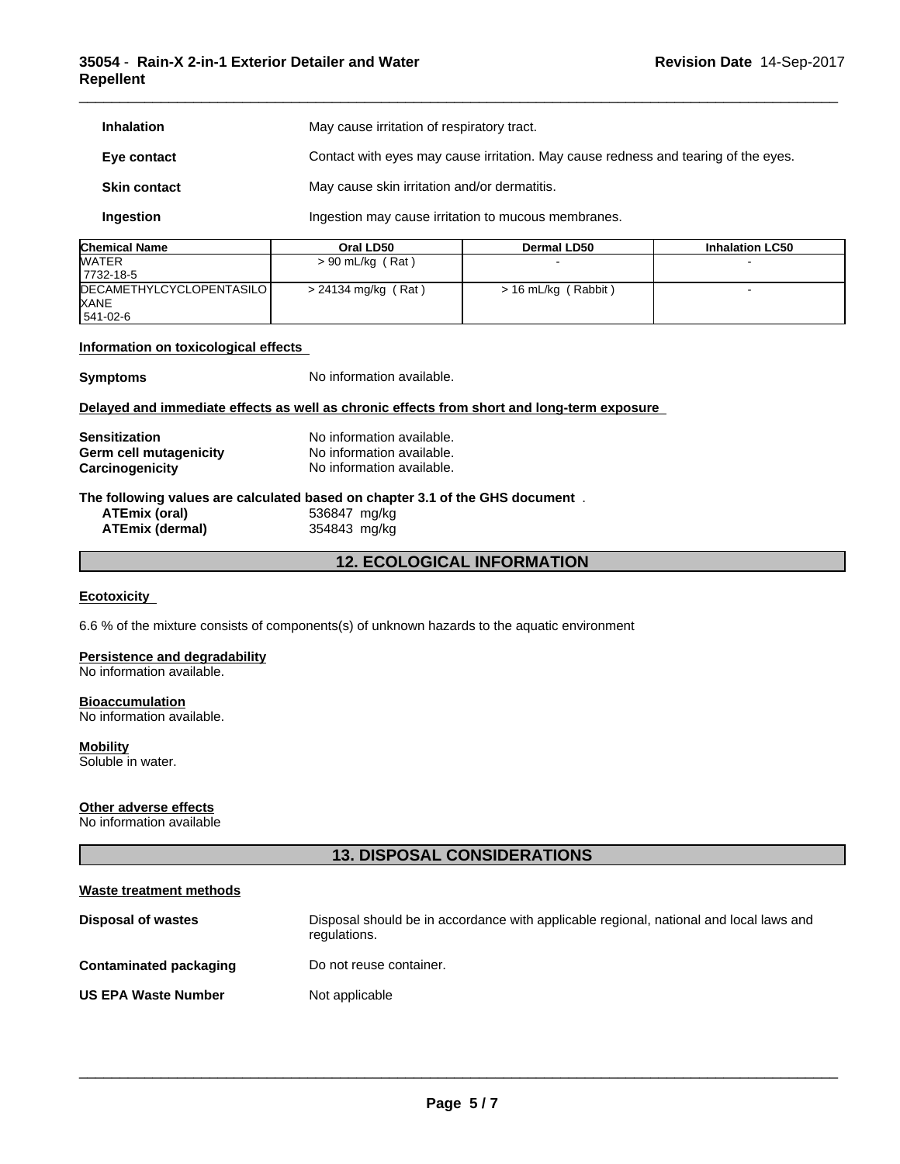### **35054** - **Rain-X 2-in-1 Exterior Detailer and Water Repellent**

| <b>Inhalation</b>   | May cause irritation of respiratory tract.                                         |
|---------------------|------------------------------------------------------------------------------------|
| Eye contact         | Contact with eyes may cause irritation. May cause redness and tearing of the eyes. |
| <b>Skin contact</b> | May cause skin irritation and/or dermatitis.                                       |
| Ingestion           | Ingestion may cause irritation to mucous membranes.                                |

\_\_\_\_\_\_\_\_\_\_\_\_\_\_\_\_\_\_\_\_\_\_\_\_\_\_\_\_\_\_\_\_\_\_\_\_\_\_\_\_\_\_\_\_\_\_\_\_\_\_\_\_\_\_\_\_\_\_\_\_\_\_\_\_\_\_\_\_\_\_\_\_\_\_\_\_\_\_\_\_\_\_\_\_\_\_\_\_\_\_\_\_\_

| <b>Chemical Name</b>              | Oral LD50           | Dermal LD50         | <b>Inhalation LC50</b> |
|-----------------------------------|---------------------|---------------------|------------------------|
| <b>WATER</b>                      | $> 90$ mL/kg (Rat)  |                     |                        |
| 17732-18-5                        |                     |                     |                        |
| <b>IDECAMETHYLCYCLOPENTASILOI</b> | > 24134 mg/kg (Rat) | > 16 mL/kg (Rabbit) |                        |
| <b>XANE</b>                       |                     |                     |                        |
| 541-02-6                          |                     |                     |                        |

### **Information on toxicological effects**

**Symptoms** No information available.

### **Delayed and immediate effects as well as chronic effects from short and long-term exposure**

| <b>Sensitization</b>   | No information available. |
|------------------------|---------------------------|
| Germ cell mutagenicity | No information available. |
| Carcinogenicity        | No information available. |

# **The following values are calculated based on chapter 3.1 of the GHS document** .

**ATEmix** (dermal)

**ATEmix (oral)** 536847 mg/kg

### **12. ECOLOGICAL INFORMATION**

### **Ecotoxicity**

6.6 % of the mixture consists of components(s) of unknown hazards to the aquatic environment

### **Persistence and degradability**

No information available.

### **Bioaccumulation**

No information available.

### **Mobility**

Soluble in water.

### **Other adverse effects**

No information available

### **13. DISPOSAL CONSIDERATIONS**

| Waste treatment methods       |                                                                                                        |
|-------------------------------|--------------------------------------------------------------------------------------------------------|
| <b>Disposal of wastes</b>     | Disposal should be in accordance with applicable regional, national and local laws and<br>regulations. |
| <b>Contaminated packaging</b> | Do not reuse container.                                                                                |
| <b>US EPA Waste Number</b>    | Not applicable                                                                                         |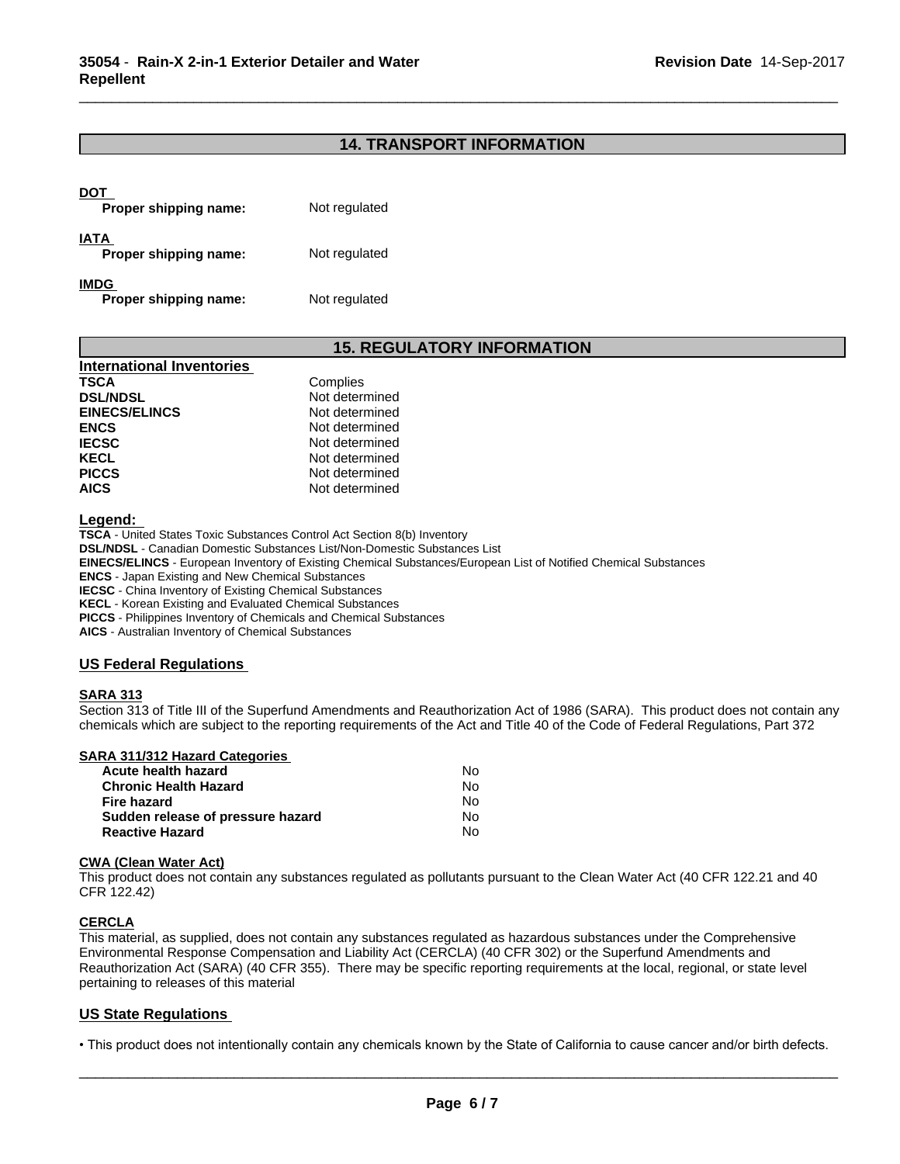### **14. TRANSPORT INFORMATION**

\_\_\_\_\_\_\_\_\_\_\_\_\_\_\_\_\_\_\_\_\_\_\_\_\_\_\_\_\_\_\_\_\_\_\_\_\_\_\_\_\_\_\_\_\_\_\_\_\_\_\_\_\_\_\_\_\_\_\_\_\_\_\_\_\_\_\_\_\_\_\_\_\_\_\_\_\_\_\_\_\_\_\_\_\_\_\_\_\_\_\_\_\_

| DOT<br>Proper shipping name:         | Not regulated |
|--------------------------------------|---------------|
| <b>IATA</b><br>Proper shipping name: | Not regulated |
| <b>IMDG</b><br>Proper shipping name: | Not regulated |

### **15. REGULATORY INFORMATION**

| <b>International Inventories</b> |                |
|----------------------------------|----------------|
| <b>TSCA</b>                      | Complies       |
| <b>DSL/NDSL</b>                  | Not determined |
| <b>EINECS/ELINCS</b>             | Not determined |
| <b>ENCS</b>                      | Not determined |
| <b>IECSC</b>                     | Not determined |
| <b>KECL</b>                      | Not determined |
| <b>PICCS</b>                     | Not determined |
| <b>AICS</b>                      | Not determined |

**Legend:** 

**TSCA** - United States Toxic Substances Control Act Section 8(b) Inventory **DSL/NDSL** - Canadian Domestic Substances List/Non-Domestic Substances List **EINECS/ELINCS** - European Inventory of Existing Chemical Substances/European List of Notified Chemical Substances **ENCS** - Japan Existing and New Chemical Substances **IECSC** - China Inventory of Existing Chemical Substances **KECL** - Korean Existing and Evaluated Chemical Substances

**PICCS** - Philippines Inventory of Chemicals and Chemical Substances

**AICS** - Australian Inventory of Chemical Substances

### **US Federal Regulations**

### **SARA 313**

Section 313 of Title III of the Superfund Amendments and Reauthorization Act of 1986 (SARA). This product does not contain any chemicals which are subject to the reporting requirements of the Act and Title 40 of the Code of Federal Regulations, Part 372

| SARA 311/312 Hazard Categories    |    |  |
|-----------------------------------|----|--|
| Acute health hazard               | No |  |
| <b>Chronic Health Hazard</b>      | No |  |
| Fire hazard                       | No |  |
| Sudden release of pressure hazard | No |  |
| <b>Reactive Hazard</b>            | N٥ |  |

### **CWA** (Clean Water Act)

This product does not contain any substances regulated as pollutants pursuant to the Clean Water Act (40 CFR 122.21 and 40 CFR 122.42)

### **CERCLA**

This material, as supplied, does not contain any substances regulated as hazardous substances under the Comprehensive Environmental Response Compensation and Liability Act (CERCLA) (40 CFR 302) or the Superfund Amendments and Reauthorization Act (SARA) (40 CFR 355). There may be specific reporting requirements at the local, regional, or state level pertaining to releases of this material

### **US State Regulations**

• This product does not intentionally contain any chemicals known by the State of California to cause cancer and/or birth defects.<br> **Page 6/7**